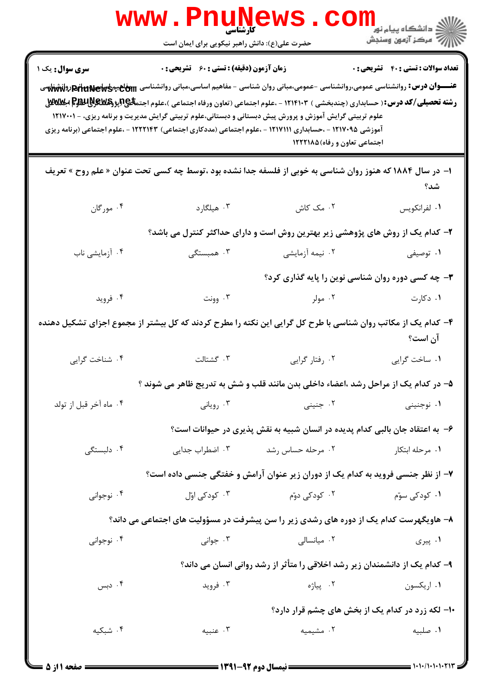|                                                                                                                         | <b>www.rnune</b><br>حضرت علی(ع): دانش راهبر نیکویی برای ایمان است                                                                                                                                                    | کارشناسی                     |                                                                                                                                                                                                                                                                                          |  |
|-------------------------------------------------------------------------------------------------------------------------|----------------------------------------------------------------------------------------------------------------------------------------------------------------------------------------------------------------------|------------------------------|------------------------------------------------------------------------------------------------------------------------------------------------------------------------------------------------------------------------------------------------------------------------------------------|--|
| <b>سری سوال :</b> یک ۱                                                                                                  | <b>زمان آزمون (دقیقه) : تستی : 60 ٪ تشریحی : 0</b>                                                                                                                                                                   |                              | <b>تعداد سوالات : تستي : 40 - تشريحي : 0</b>                                                                                                                                                                                                                                             |  |
|                                                                                                                         | علوم تربیتی گرایش آموزش و پرورش پیش دبستانی و دبستانی،علوم تربیتی گرایش مدیریت و برنامه ریزی، - ۱۲۱۷۰۰۱<br>آموزشی ۱۲۱۷۰۹۵ - ،حسابداری ۱۲۱۷۱۱۱ - ،علوم اجتماعی (مددکاری اجتماعی) ۱۲۲۲۱۴۳ - ،علوم اجتماعی (برنامه ریزی | اجتماعی تعاون و رفاه)۱۲۲۲۱۸۵ | عنـــوان درس: روانشناسی عمومی،روانشناسی -عمومی،مبانی روان شناسی - مفاهیم اساسی،مبانی روانشناسی www.pakary.com رولهشناسی<br><b>رشته تحصیلی/کد درس:</b> ( حسابداری (چندبخشی ) ۱۲۱۴۱۰۳ - ،علوم اجتماعی (تعاون ورفاه اجتماعی )،علوم اجتم <del>ال</del> هجالپژ <b>وگلانلیلالوج اجلالاللاق</b> |  |
| ا– در سال ۱۸۸۴ که هنوز روان شناسی به خوبی از فلسفه جدا نشده بود ،توسط چه کسی تحت عنوان « علم روح » تعریف<br>شد؟         |                                                                                                                                                                                                                      |                              |                                                                                                                                                                                                                                                                                          |  |
| ۰۴ مورگان                                                                                                               | ۰۳ هیلگارد                                                                                                                                                                                                           | ٢. مک کاش                    | ٠١ لفرانكويس                                                                                                                                                                                                                                                                             |  |
| ۲- کدام یک از روش های پژوهشی زیر بهترین روش است و دارای حداکثر کنترل می باشد؟                                           |                                                                                                                                                                                                                      |                              |                                                                                                                                                                                                                                                                                          |  |
| ۰۴ آزمایشی ناب                                                                                                          | ۰۳ همبستگی                                                                                                                                                                                                           | ۰۲ نیمه آزمایشی              | ۰۱ توصیفی                                                                                                                                                                                                                                                                                |  |
|                                                                                                                         |                                                                                                                                                                                                                      |                              | ۳- چه کسی دوره روان شناسی نوین را پایه گذاری کرد؟                                                                                                                                                                                                                                        |  |
| ۰۴ فروید                                                                                                                | ۰۳ وونت                                                                                                                                                                                                              | ۰۲ مولر                      | ۰۱ دکارت                                                                                                                                                                                                                                                                                 |  |
| ۴– کدام یک از مکاتب روان شناسی با طرح کل گرایی این نکته را مطرح کردند که کل بیشتر از مجموع اجزای تشکیل دهنده<br>آن است؟ |                                                                                                                                                                                                                      |                              |                                                                                                                                                                                                                                                                                          |  |
| ۰۴ شناخت گرايي                                                                                                          | ٠٣ گشتالت                                                                                                                                                                                                            | ۰۲ رفتار گرایی               | ۰۱ ساخت گرايي                                                                                                                                                                                                                                                                            |  |
|                                                                                                                         |                                                                                                                                                                                                                      |                              | ۵– در کدام یک از مراحل رشد ،اعضاء داخلی بدن مانند قلب و شش به تدریج ظاهر می شوند ؟                                                                                                                                                                                                       |  |
| ۰۴ ماه آخر قبل از تولد                                                                                                  | ۰۳ رویانی                                                                                                                                                                                                            | ۰۲ جنینی                     | ۰۱ نوجنینی                                                                                                                                                                                                                                                                               |  |
|                                                                                                                         |                                                                                                                                                                                                                      |                              | ۶– به اعتقاد جان بالبی کدام پدیده در انسان شبیه به نقش پذیری در حیوانات است؟                                                                                                                                                                                                             |  |
| ۰۴ دلېستگې                                                                                                              | ۰۳ اضطراب جدایی                                                                                                                                                                                                      | ۰۲ مرحله حساس رشد            | ۰۱ مرحله ابتکار                                                                                                                                                                                                                                                                          |  |
| ۷- از نظر جنسی فروید به کدام یک از دوران زیر عنوان آرامش و خفتگی جنسی داده است؟                                         |                                                                                                                                                                                                                      |                              |                                                                                                                                                                                                                                                                                          |  |
| ۰۴ نوجوانی                                                                                                              | ۰۳ کودکی اوّل                                                                                                                                                                                                        | ۰۲ کودکی دوّم                | ۰۱ کودکی سوّم                                                                                                                                                                                                                                                                            |  |
|                                                                                                                         |                                                                                                                                                                                                                      |                              | ۸– هاویگهرست کدام یک از دوره های رشدی زیر را سن پیشرفت در مسؤولیت های اجتماعی می داند؟                                                                                                                                                                                                   |  |
| ۰۴ نوجوانی                                                                                                              | ۰۳ جوانی                                                                                                                                                                                                             | ٢. ميانسالى                  | ۰۱ پیری                                                                                                                                                                                                                                                                                  |  |
|                                                                                                                         |                                                                                                                                                                                                                      |                              | ۹- کدام یک از دانشمندان زیر رشد اخلاقی را متأثر از رشد روانی انسان می داند؟                                                                                                                                                                                                              |  |
| ۰۴ دبس                                                                                                                  | ۰۳ فروید                                                                                                                                                                                                             | ۰۲ پیاژه                     | ۰۱ اریکسون                                                                                                                                                                                                                                                                               |  |
|                                                                                                                         | ۱۰- لکه زرد در کدام یک از بخش های چشم قرار دارد؟                                                                                                                                                                     |                              |                                                                                                                                                                                                                                                                                          |  |
| ۰۴ شبکیه                                                                                                                | ۰۳ عنبیه                                                                                                                                                                                                             | ۰۲ مشیمیه                    | ٠١ صلبيه                                                                                                                                                                                                                                                                                 |  |
|                                                                                                                         |                                                                                                                                                                                                                      |                              |                                                                                                                                                                                                                                                                                          |  |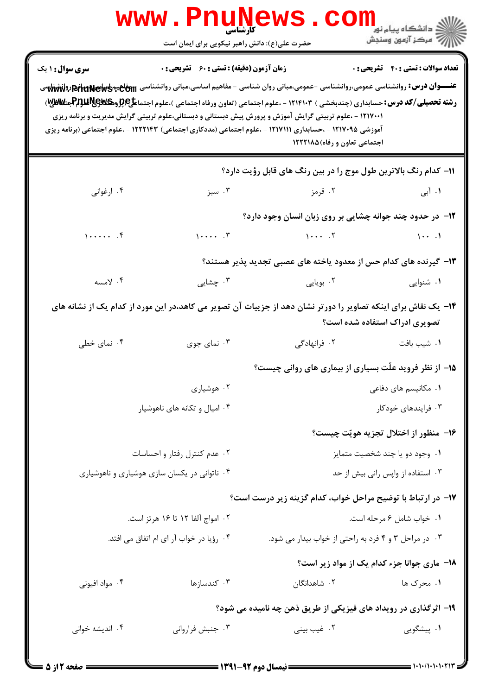|                                                                                                                                                 | www.PnuNews.co<br>حضرت علی(ع): دانش راهبر نیکویی برای ایمان است |                                                                                                                                                                                                                                                                                                                                                                                                                                                                                                                                          | <sup>ان</sup> گ دانشگاه پيام نور "<br>  <i>  *</i><br>  # مرکز آزمون وسنجش |  |  |
|-------------------------------------------------------------------------------------------------------------------------------------------------|-----------------------------------------------------------------|------------------------------------------------------------------------------------------------------------------------------------------------------------------------------------------------------------------------------------------------------------------------------------------------------------------------------------------------------------------------------------------------------------------------------------------------------------------------------------------------------------------------------------------|----------------------------------------------------------------------------|--|--|
| <b>سری سوال : ۱ یک</b>                                                                                                                          | <b>زمان آزمون (دقیقه) : تستی : 60 ٪ تشریحی : 0</b>              | عنـــوان درس: روانشناسی عمومی،روانشناسی -عمومی،مبانی روان شناسی - مفاهیم اساسی،مبانی روانشناسی <del>Beltunews (پانشناس</del> ی<br><b>رشته تحصیلی/کد درس:</b> حسابداری (چندبخشی ) ۱۲۱۴۱۰۳ - ،علوم اجتماعی (تعاون ورفاه اجتماعی )،علوم اجتماعجپ <del>ر(وهکایالیالپرا</del> جیتایی)<br>۱۲۱۷۰۰۱ - ،علوم تربیتی گرایش آموزش و پرورش پیش دبستانی و دبستانی،علوم تربیتی گرایش مدیریت و برنامه ریزی<br>آموزشی ۱۲۱۷۰۹۵ - ،حسابداری ۱۲۱۷۱۱۱ - ،علوم اجتماعی (مددکاری اجتماعی) ۱۲۲۲۱۴۳ - ،علوم اجتماعی (برنامه ریزی<br>اجتماعی تعاون و رفاه)۱۲۲۲۱۸۵ | <b>تعداد سوالات : تستي : 40 - تشريحي : 0</b>                               |  |  |
| 11- كدام رنگ بالاترين طول موج را در بين رنگ هاي قابل رؤيت دارد؟                                                                                 |                                                                 |                                                                                                                                                                                                                                                                                                                                                                                                                                                                                                                                          |                                                                            |  |  |
| ۰۴ ارغوانی                                                                                                                                      | ۰۳ سبز                                                          | ۰۲ قرمز                                                                                                                                                                                                                                                                                                                                                                                                                                                                                                                                  | ۰۱ آبی                                                                     |  |  |
|                                                                                                                                                 |                                                                 | ۱۲- در حدود چند جوانه چشایی بر روی زبان انسان وجود دارد؟                                                                                                                                                                                                                                                                                                                                                                                                                                                                                 |                                                                            |  |  |
| $1 \cdots$                                                                                                                                      | $1 \cdots$ . $\mathbf{r}$                                       | $1 \cdots 5$                                                                                                                                                                                                                                                                                                                                                                                                                                                                                                                             |                                                                            |  |  |
|                                                                                                                                                 |                                                                 | ۱۳- گیرنده های کدام حس از معدود یاخته های عصبی تجدید پذیر هستند؟                                                                                                                                                                                                                                                                                                                                                                                                                                                                         |                                                                            |  |  |
| ۰۴ لامسه                                                                                                                                        | ۰۳ چشایی                                                        | ۰۲ بویایی                                                                                                                                                                                                                                                                                                                                                                                                                                                                                                                                | ۰۱ شنوایی                                                                  |  |  |
| ۱۴– یک نقاش برای اینکه تصاویر را دورتر نشان دهد از جزییات آن تصویر می کاهد،در این مورد از کدام یک از نشانه های<br>تصویری ادراک استفاده شده است؟ |                                                                 |                                                                                                                                                                                                                                                                                                                                                                                                                                                                                                                                          |                                                                            |  |  |
| ۰۴ نمای خطی                                                                                                                                     | ۰۳ نمای جوی                                                     | ۰۲ فرانهادگی                                                                                                                                                                                                                                                                                                                                                                                                                                                                                                                             | ۰۱ شیب بافت                                                                |  |  |
|                                                                                                                                                 |                                                                 | ۱۵– از نظر فروید علّت بسیاری از بیماری های روانی چیست؟                                                                                                                                                                                                                                                                                                                                                                                                                                                                                   |                                                                            |  |  |
|                                                                                                                                                 | ۰۲ هوشیاری                                                      |                                                                                                                                                                                                                                                                                                                                                                                                                                                                                                                                          | ۰۱ مکانیسم های دفاعی                                                       |  |  |
| ۰۴ امیال و تکانه های ناهوشیار                                                                                                                   |                                                                 | ۰۳ فرایندهای خودکار                                                                                                                                                                                                                                                                                                                                                                                                                                                                                                                      |                                                                            |  |  |
|                                                                                                                                                 |                                                                 |                                                                                                                                                                                                                                                                                                                                                                                                                                                                                                                                          | 1۶– منظور از اختلال تجزيه هويّت چيست؟                                      |  |  |
| ۰۲ عدم کنترل رفتار و احساسات                                                                                                                    |                                                                 | ۰۱ وجود دو یا چند شخصیت متمایز                                                                                                                                                                                                                                                                                                                                                                                                                                                                                                           |                                                                            |  |  |
| ۰۴ ناتوانی در یکسان سازی هوشیاری و ناهوشیاری                                                                                                    |                                                                 | ۰۳ استفاده از واپس رانی بیش از حد                                                                                                                                                                                                                                                                                                                                                                                                                                                                                                        |                                                                            |  |  |
|                                                                                                                                                 |                                                                 | ۱۷- در ارتباط با توضیح مراحل خواب، کدام گزینه زیر درست است؟                                                                                                                                                                                                                                                                                                                                                                                                                                                                              |                                                                            |  |  |
|                                                                                                                                                 | ۰۲ امواج آلفا ۱۲ تا ۱۶ هرتز است.                                |                                                                                                                                                                                                                                                                                                                                                                                                                                                                                                                                          | ٠١ خواب شامل ۶ مرحله است.                                                  |  |  |
|                                                                                                                                                 | ۰۴ رؤیا در خواب آر ای ام اتفاق می افتد.                         | ۰۳ در مراحل ۳ و ۴ فرد به راحتی از خواب بیدار می شود.                                                                                                                                                                                                                                                                                                                                                                                                                                                                                     |                                                                            |  |  |
|                                                                                                                                                 |                                                                 |                                                                                                                                                                                                                                                                                                                                                                                                                                                                                                                                          | 18- ماری جوانا جزء کدام یک از مواد زیر است؟                                |  |  |
| ۰۴ مواد افیونی                                                                                                                                  | ۰۳ کندسازها                                                     | ۰۲ شاهدانگان                                                                                                                                                                                                                                                                                                                                                                                                                                                                                                                             | ۰۱ محرک ها                                                                 |  |  |
|                                                                                                                                                 | ۱۹- اثرگذاری در رویداد های فیزیکی از طریق ذهن چه نامیده می شود؟ |                                                                                                                                                                                                                                                                                                                                                                                                                                                                                                                                          |                                                                            |  |  |
| ۰۴ اندیشه خوانی                                                                                                                                 | ۰۳ جنبش فرارواني                                                | ۰۲ غیب بینی                                                                                                                                                                                                                                                                                                                                                                                                                                                                                                                              | ۰۱ پیشگویی                                                                 |  |  |
|                                                                                                                                                 |                                                                 |                                                                                                                                                                                                                                                                                                                                                                                                                                                                                                                                          |                                                                            |  |  |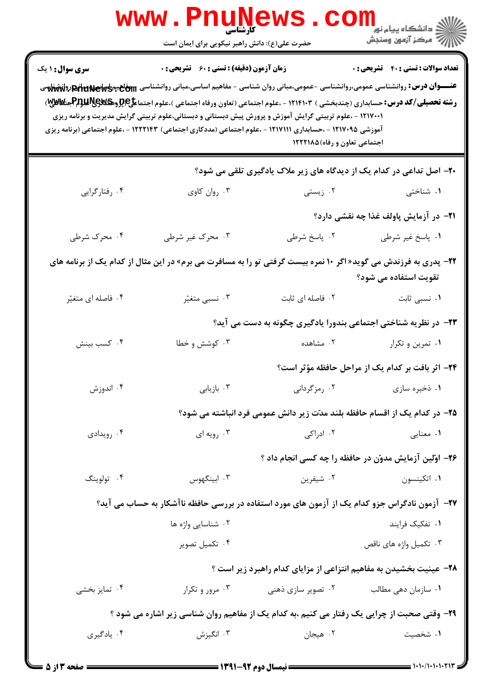|                                                                                                                                                  | <b>www.Pnur</b><br><b>کارشناسی</b><br>حضرت علی(ع): دانش راهبر نیکویی برای ایمان است                                                                                                                                                                                        |                              | ر دانشڪاه پيام نور <mark>−</mark><br>ا∛ مرکز آزمون وسنڊش                                                                                                                                                                                                                                                             |  |
|--------------------------------------------------------------------------------------------------------------------------------------------------|----------------------------------------------------------------------------------------------------------------------------------------------------------------------------------------------------------------------------------------------------------------------------|------------------------------|----------------------------------------------------------------------------------------------------------------------------------------------------------------------------------------------------------------------------------------------------------------------------------------------------------------------|--|
| <b>سری سوال : ۱ یک</b>                                                                                                                           | <b>زمان آزمون (دقیقه) : تستی : 60 ٪ تشریحی : 0</b><br>۱۲۱۷۰۰۱ - ،علوم تربیتی گرایش آموزش و پرورش پیش دبستانی و دبستانی،علوم تربیتی گرایش مدیریت و برنامه ریزی<br>آموزشی ۱۲۱۷۰۹۵ - ،حسابداری ۱۲۱۷۱۱۱ - ،علوم اجتماعی (مددکاری اجتماعی) ۱۲۲۲۱۴۳ - ،علوم اجتماعی (برنامه ریزی | اجتماعی تعاون و رفاه)۱۲۲۲۱۸۵ | <b>تعداد سوالات : تستي : 40 ٪ تشريحي : 0</b><br>عنـــوان درس: روانشناسی عمومی،روانشناسی -عمومی،مبانی روان شناسی - مفاهیم اساسی،مبانی روانشناسی w <del>ög، وانشانهای</del> پول<br><b>رشته تحصیلی/کد درس:</b> حسابداری (چندبخشی ) ۱۲۱۴۱۰۳ - ،علوم اجتماعی (تعاون ورفاه اجتماعی )،علوم اجتماع <b>لی (ABS و PAUME</b> )، |  |
| ۲۰- اصل تداعی در کدام یک از دیدگاه های زیر ملاک یادگیری تلقی می شود؟                                                                             |                                                                                                                                                                                                                                                                            |                              |                                                                                                                                                                                                                                                                                                                      |  |
| ۰۴ رفتارگرایی                                                                                                                                    | ۰۳ روان کاوي                                                                                                                                                                                                                                                               | ۰۲ زیستی                     | ۰۱ شناختی                                                                                                                                                                                                                                                                                                            |  |
|                                                                                                                                                  |                                                                                                                                                                                                                                                                            |                              | <b>ا۲-</b> در آزمایش پاولف غذا چه نقشی دارد؟                                                                                                                                                                                                                                                                         |  |
| ۰۴ محرک شرطی                                                                                                                                     | ۰۳ محرک غیر شرطی                                                                                                                                                                                                                                                           | ۰۲ پاسخ شرطی                 | ٠١. پاسخ غير شرطي                                                                                                                                                                                                                                                                                                    |  |
| <b>۲۲</b> - پدری به فرزندش می گوید« اگر ۱۰ نمره بیست گرفتی تو را به مسافرت می برم» در این مثال از کدام یک از برنامه های<br>تقویت استفاده می شود؟ |                                                                                                                                                                                                                                                                            |                              |                                                                                                                                                                                                                                                                                                                      |  |
| ۰۴ فاصله ای متغیّر                                                                                                                               | ۰۳ نسبي متغيّر                                                                                                                                                                                                                                                             | ٠٢ فاصله ای ثابت             | ۰۱ نسبی ثابت                                                                                                                                                                                                                                                                                                         |  |
|                                                                                                                                                  |                                                                                                                                                                                                                                                                            |                              | ۲۳- در نظریه شناختی اجتماعی بندورا یادگیری چگونه به دست می آید؟                                                                                                                                                                                                                                                      |  |
| ۰۴ کسب بینش                                                                                                                                      | ۰۳ کوشش و خطا                                                                                                                                                                                                                                                              | ۰۲ مشاهده                    | ۰۱ تمرین و تکرار                                                                                                                                                                                                                                                                                                     |  |
|                                                                                                                                                  |                                                                                                                                                                                                                                                                            |                              | ۲۴- اثر بافت بر کدام یک از مراحل حافظه مؤثر است؟                                                                                                                                                                                                                                                                     |  |
| ۰۴ اندوزش                                                                                                                                        | ۰۳ بازیابی                                                                                                                                                                                                                                                                 | ۰۲ رمزگردانی                 | ۰۱ ذخیره سازی                                                                                                                                                                                                                                                                                                        |  |
|                                                                                                                                                  |                                                                                                                                                                                                                                                                            |                              | ۲۵– در کدام یک از اقسام حافظه بلند مدّت زیر دانش عمومی فرد انباشته می شود؟                                                                                                                                                                                                                                           |  |
| ۰۴ رویدادی                                                                                                                                       | ۰۳ رویه ای                                                                                                                                                                                                                                                                 | ۰۲ ادراکی                    | ۰۱ معنایی                                                                                                                                                                                                                                                                                                            |  |
|                                                                                                                                                  |                                                                                                                                                                                                                                                                            |                              | ۲۶- اوّلین آزمایش مدوّن در حافظه را چه کسی انجام داد ؟                                                                                                                                                                                                                                                               |  |
| ۰۴ تولوينگ                                                                                                                                       | ۰۳ ابینگهوس                                                                                                                                                                                                                                                                | ۰۲ شیفرین                    | ۰۱ اتکینسون                                                                                                                                                                                                                                                                                                          |  |
|                                                                                                                                                  |                                                                                                                                                                                                                                                                            |                              | ۲۷- آزمون نادگراس جزو کدام یک از آزمون های مورد استفاده در بررسی حافظه ناآشکار به حساب می آید؟                                                                                                                                                                                                                       |  |
|                                                                                                                                                  | ۰۲ شناسایی واژه ها                                                                                                                                                                                                                                                         |                              | ۰۱ تفکیک فرایند                                                                                                                                                                                                                                                                                                      |  |
|                                                                                                                                                  | ۰۴ تکمیل تصویر                                                                                                                                                                                                                                                             |                              | ۰۳ تکمیل واژه های ناقص                                                                                                                                                                                                                                                                                               |  |
|                                                                                                                                                  |                                                                                                                                                                                                                                                                            |                              | ۲۸- عینیت بخشیدن به مفاهیم انتزاعی از مزایای کدام راهبرد زیر است ؟                                                                                                                                                                                                                                                   |  |
| ۰۴ تمایز بخشی                                                                                                                                    | ۰۳ مرور و تکرار                                                                                                                                                                                                                                                            | ۰۲ تصویر سازی ذهنی           | ۰۱ سازمان دهی مطالب                                                                                                                                                                                                                                                                                                  |  |
| ۲۹- وقتی صحبت از چرایی یک رفتار می کنیم ،به کدام یک از مفاهیم روان شناسی زیر اشاره می شود ؟                                                      |                                                                                                                                                                                                                                                                            |                              |                                                                                                                                                                                                                                                                                                                      |  |
| ۰۴ يادگيري                                                                                                                                       | ۰۳ انگیزش                                                                                                                                                                                                                                                                  | ۰۲ هیجان                     | ۰۱ شخصیت                                                                                                                                                                                                                                                                                                             |  |

 $= 1.1 \cdot 1.1 \cdot 1.1 \cdot 11$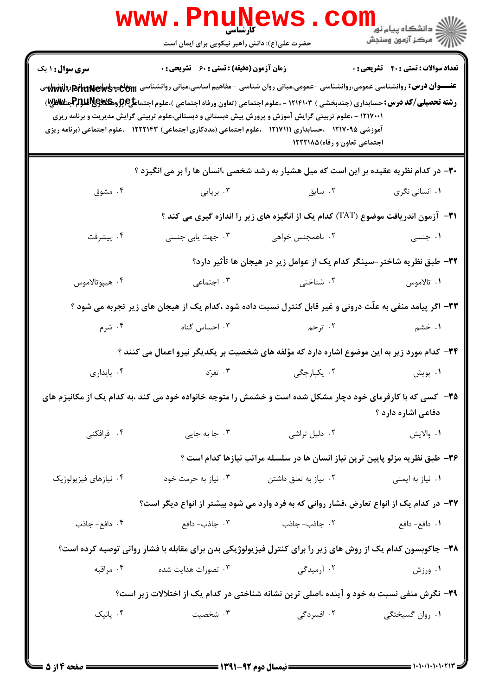|                                                                                                                                                                                                                                                                                                                                                                                                                                                                                                                                                                | <b>www.Pnun</b><br>کارشناسی<br>حضرت علی(ع): دانش راهبر نیکویی برای ایمان است                |                       | $\ge$ دانشگاه پیام نو <mark>ر</mark><br>أآآآآ مرکز آزمون وسنجش                           |  |  |
|----------------------------------------------------------------------------------------------------------------------------------------------------------------------------------------------------------------------------------------------------------------------------------------------------------------------------------------------------------------------------------------------------------------------------------------------------------------------------------------------------------------------------------------------------------------|---------------------------------------------------------------------------------------------|-----------------------|------------------------------------------------------------------------------------------|--|--|
| <b>سری سوال : ۱ یک</b>                                                                                                                                                                                                                                                                                                                                                                                                                                                                                                                                         | <b>زمان آزمون (دقیقه) : تستی : 60 ٪ تشریحی : 0</b>                                          |                       | <b>تعداد سوالات : تستي : 40 - تشريحي : 0</b>                                             |  |  |
| عنـــوان درس: روانشناسی عمومی،روانشناسی -عمومی،مبانی روان شناسی - مفاهیم اساسی،مبانی روانشناسی <del>hiu<code>news]فیمیایهافع بوناشناسی</code></del><br><b>رشته تحصیلی/کد درس:</b> حسابداری (چندبخشی ) ۱۲۱۴۱۰۳ - ،علوم اجتماعی (تعاون ورفاه اجتماعی )،علوم اجتماعجپ <del>رپروهکیپرکرلفلومPب</del> یکلین<br>۱۲۱۷۰۰۱ - ،علوم تربیتی گرایش آموزش و پرورش پیش دبستانی و دبستانی،علوم تربیتی گرایش مدیریت و برنامه ریزی<br>آموزشی ۱۲۱۷۰۹۵ - ،حسابداری ۱۲۱۷۱۱۱ - ،علوم اجتماعی (مددکاری اجتماعی) ۱۲۲۲۱۴۳ - ،علوم اجتماعی (برنامه ریزی<br>اجتماعی تعاون و رفاه)۱۲۲۲۱۸۵ |                                                                                             |                       |                                                                                          |  |  |
|                                                                                                                                                                                                                                                                                                                                                                                                                                                                                                                                                                |                                                                                             |                       | ۳۰- در کدام نظریه عقیده بر این است که میل هشیار به رشد شخصی ،انسان ها را بر می انگیزد ؟  |  |  |
| ۰۴ مشوق                                                                                                                                                                                                                                                                                                                                                                                                                                                                                                                                                        | ۰۳ برپایی                                                                                   | ۰۲ سایق               | ۰۱ انسانی نگری                                                                           |  |  |
|                                                                                                                                                                                                                                                                                                                                                                                                                                                                                                                                                                |                                                                                             |                       | ۳۱− آزمون اندریافت موضوع (TAT) کدام یک از انگیزه های زیر را اندازه گیری می کند ؟         |  |  |
| ۰۴ پیشرفت                                                                                                                                                                                                                                                                                                                                                                                                                                                                                                                                                      | ۰۳ جهت یابی جنسی                                                                            | ۰۲ ناهمجنس خواهی      | ۰۱ جنسی                                                                                  |  |  |
|                                                                                                                                                                                                                                                                                                                                                                                                                                                                                                                                                                |                                                                                             |                       | ٣٢- طبق نظريه شاختر-سينگر كدام يک از عوامل زير در هيجان ها تأثير دارد؟                   |  |  |
| ۰۴ هيپوتالاموس                                                                                                                                                                                                                                                                                                                                                                                                                                                                                                                                                 | ۰۳ اجتماعی                                                                                  | ۰۲ شناختی             | ۰۱ تالاموس                                                                               |  |  |
| ۳۳- اگر پیامد منفی به علّت درونی و غیر قابل کنترل نسبت داده شود ،کدام یک از هیجان های زیر تجربه می شود ؟                                                                                                                                                                                                                                                                                                                                                                                                                                                       |                                                                                             |                       |                                                                                          |  |  |
| ۰۴ شرم                                                                                                                                                                                                                                                                                                                                                                                                                                                                                                                                                         | ۰۳ احساس گناه                                                                               | ۰۲ ترحم               | ۱. خشم                                                                                   |  |  |
|                                                                                                                                                                                                                                                                                                                                                                                                                                                                                                                                                                | ۳۴- کدام مورد زیر به این موضوع اشاره دارد که مؤلفه های شخصیت بر یکدیگر نیرو اعمال می کنند ؟ |                       |                                                                                          |  |  |
| ۰۴ پایداری                                                                                                                                                                                                                                                                                                                                                                                                                                                                                                                                                     | ۰۳ تفرّد                                                                                    | ۰۲ یکپارچگی           | ۰۱ پویش                                                                                  |  |  |
| ۳۵– کسی که با کارفرمای خود دچار مشکل شده است و خشمش را متوجه خانواده خود می کند ،به کدام یک از مکانیزم های<br>دفاعی اشاره دارد ؟                                                                                                                                                                                                                                                                                                                                                                                                                               |                                                                                             |                       |                                                                                          |  |  |
| ۰۴ فرافکنی                                                                                                                                                                                                                                                                                                                                                                                                                                                                                                                                                     | ۰۳ جا به جای <sub>ی</sub>                                                                   | ۰۲ دلیل تراشی         | ٠١ والايش                                                                                |  |  |
|                                                                                                                                                                                                                                                                                                                                                                                                                                                                                                                                                                |                                                                                             |                       | ۳۶- طبق نظریه مزلو پایین ترین نیاز انسان ها در سلسله مراتب نیازها کدام است ؟             |  |  |
| ۰۴ نیازهای فیزیولوژیک                                                                                                                                                                                                                                                                                                                                                                                                                                                                                                                                          | ۰۳ نیاز به حرمت خود                                                                         | ۰۲ نیاز به تعلق داشتن | ۰۱ نیاز به ایمنی                                                                         |  |  |
|                                                                                                                                                                                                                                                                                                                                                                                                                                                                                                                                                                |                                                                                             |                       | ۳۷– در کدام یک از انواع تعارض ،فشار روانی که به فرد وارد می شود بیشتر از انواع دیگر است؟ |  |  |
| ۰۴ دافع- جاذب                                                                                                                                                                                                                                                                                                                                                                                                                                                                                                                                                  | ۰۳ جاذب- دافع                                                                               | ۰۲ جاذب- جاذب         | ۰۱ دافع– دافع                                                                            |  |  |
| ۳۸- جاکوبسون کدام یک از روش های زیر را برای کنترل فیزیولوژیکی بدن برای مقابله با فشار روانی توصیه کرده است؟                                                                                                                                                                                                                                                                                                                                                                                                                                                    |                                                                                             |                       |                                                                                          |  |  |
| ۰۴ مراقبه                                                                                                                                                                                                                                                                                                                                                                                                                                                                                                                                                      | ۰۳ تصورات هدایت شده                                                                         | ۰۲ آرمیدگی            | ۰۱ ورزش                                                                                  |  |  |
| ۳۹- نگرش منفی نسبت به خود و آینده ،اصلی ترین نشانه شناختی در کدام یک از اختلالات زیر است؟                                                                                                                                                                                                                                                                                                                                                                                                                                                                      |                                                                                             |                       |                                                                                          |  |  |
| ۰۴ پانیک                                                                                                                                                                                                                                                                                                                                                                                                                                                                                                                                                       | ۰۳ شخصیت                                                                                    | ۰۲ افسردگی            | ۰۱ روان گسیختگی                                                                          |  |  |
|                                                                                                                                                                                                                                                                                                                                                                                                                                                                                                                                                                |                                                                                             |                       |                                                                                          |  |  |

 $= 1.1 - (1.1.1.1.71)$